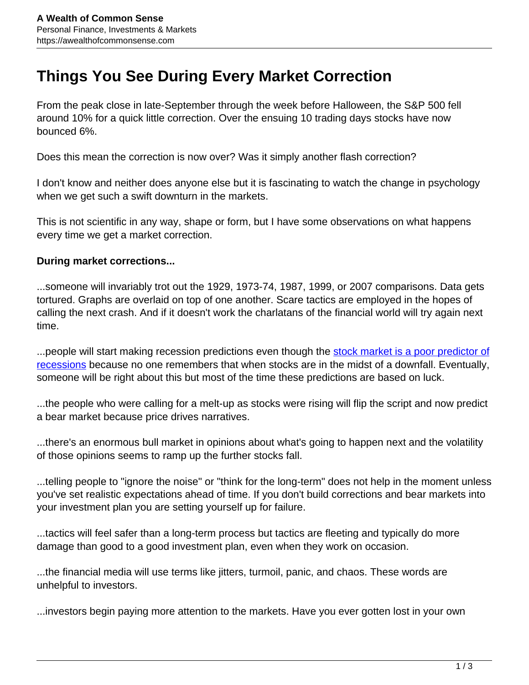## **Things You See During Every Market Correction**

From the peak close in late-September through the week before Halloween, the S&P 500 fell around 10% for a quick little correction. Over the ensuing 10 trading days stocks have now bounced 6%.

Does this mean the correction is now over? Was it simply another flash correction?

I don't know and neither does anyone else but it is fascinating to watch the change in psychology when we get such a swift downturn in the markets.

This is not scientific in any way, shape or form, but I have some observations on what happens every time we get a market correction.

## **During market corrections...**

...someone will invariably trot out the 1929, 1973-74, 1987, 1999, or 2007 comparisons. Data gets tortured. Graphs are overlaid on top of one another. Scare tactics are employed in the hopes of calling the next crash. And if it doesn't work the charlatans of the financial world will try again next time.

...people will start making recession predictions even though the [stock market is a poor predictor of](https://awealthofcommonsense.com/2018/10/can-the-stock-market-predict-the-next-recession/) [recessions](https://awealthofcommonsense.com/2018/10/can-the-stock-market-predict-the-next-recession/) because no one remembers that when stocks are in the midst of a downfall. Eventually, someone will be right about this but most of the time these predictions are based on luck.

...the people who were calling for a melt-up as stocks were rising will flip the script and now predict a bear market because price drives narratives.

...there's an enormous bull market in opinions about what's going to happen next and the volatility of those opinions seems to ramp up the further stocks fall.

...telling people to "ignore the noise" or "think for the long-term" does not help in the moment unless you've set realistic expectations ahead of time. If you don't build corrections and bear markets into your investment plan you are setting yourself up for failure.

...tactics will feel safer than a long-term process but tactics are fleeting and typically do more damage than good to a good investment plan, even when they work on occasion.

...the financial media will use terms like jitters, turmoil, panic, and chaos. These words are unhelpful to investors.

...investors begin paying more attention to the markets. Have you ever gotten lost in your own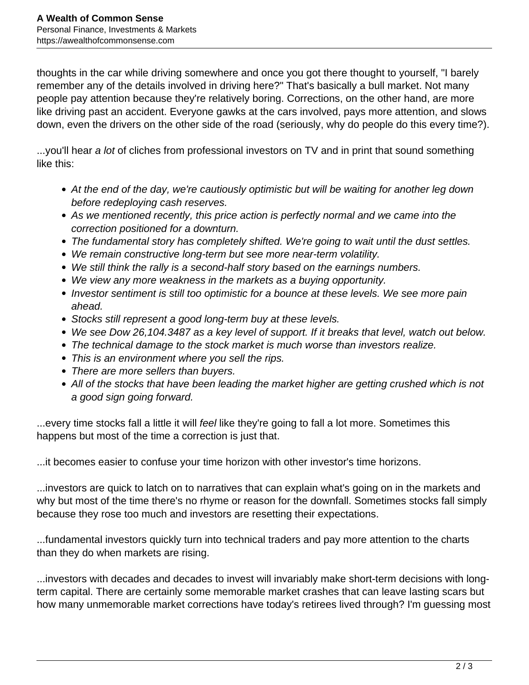thoughts in the car while driving somewhere and once you got there thought to yourself, "I barely remember any of the details involved in driving here?" That's basically a bull market. Not many people pay attention because they're relatively boring. Corrections, on the other hand, are more like driving past an accident. Everyone gawks at the cars involved, pays more attention, and slows down, even the drivers on the other side of the road (seriously, why do people do this every time?).

...you'll hear a lot of cliches from professional investors on TV and in print that sound something like this:

- At the end of the day, we're cautiously optimistic but will be waiting for another leg down before redeploying cash reserves.
- As we mentioned recently, this price action is perfectly normal and we came into the correction positioned for a downturn.
- The fundamental story has completely shifted. We're going to wait until the dust settles.
- We remain constructive long-term but see more near-term volatility.
- We still think the rally is a second-half story based on the earnings numbers.
- We view any more weakness in the markets as a buying opportunity.
- Investor sentiment is still too optimistic for a bounce at these levels. We see more pain ahead.
- Stocks still represent a good long-term buy at these levels.
- We see Dow 26,104.3487 as a key level of support. If it breaks that level, watch out below.
- The technical damage to the stock market is much worse than investors realize.
- This is an environment where you sell the rips.
- There are more sellers than buyers.
- All of the stocks that have been leading the market higher are getting crushed which is not a good sign going forward.

...every time stocks fall a little it will feel like they're going to fall a lot more. Sometimes this happens but most of the time a correction is just that.

...it becomes easier to confuse your time horizon with other investor's time horizons.

...investors are quick to latch on to narratives that can explain what's going on in the markets and why but most of the time there's no rhyme or reason for the downfall. Sometimes stocks fall simply because they rose too much and investors are resetting their expectations.

...fundamental investors quickly turn into technical traders and pay more attention to the charts than they do when markets are rising.

...investors with decades and decades to invest will invariably make short-term decisions with longterm capital. There are certainly some memorable market crashes that can leave lasting scars but how many unmemorable market corrections have today's retirees lived through? I'm guessing most